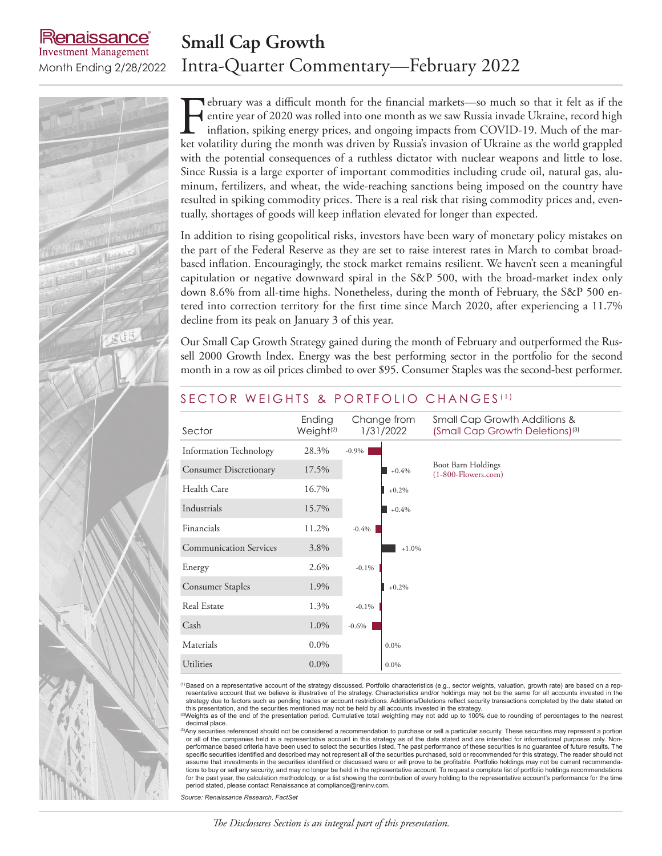## **Small Cap Growth** Month Ending 2/28/2022 Intra-Quarter Commentary—February 2022

enaissance **Investment Management** 

> February was a difficult month for the financial markets—so much so that it felt as if the<br>entire year of 2020 was rolled into one month as we saw Russia invade Ukraine, record high<br>inflation, spiking energy prices, and on entire year of 2020 was rolled into one month as we saw Russia invade Ukraine, record high inflation, spiking energy prices, and ongoing impacts from COVID-19. Much of the market volatility during the month was driven by Russia's invasion of Ukraine as the world grappled with the potential consequences of a ruthless dictator with nuclear weapons and little to lose. Since Russia is a large exporter of important commodities including crude oil, natural gas, aluminum, fertilizers, and wheat, the wide-reaching sanctions being imposed on the country have resulted in spiking commodity prices. There is a real risk that rising commodity prices and, eventually, shortages of goods will keep inflation elevated for longer than expected.

> In addition to rising geopolitical risks, investors have been wary of monetary policy mistakes on the part of the Federal Reserve as they are set to raise interest rates in March to combat broadbased inflation. Encouragingly, the stock market remains resilient. We haven't seen a meaningful capitulation or negative downward spiral in the S&P 500, with the broad-market index only down 8.6% from all-time highs. Nonetheless, during the month of February, the S&P 500 entered into correction territory for the first time since March 2020, after experiencing a 11.7% decline from its peak on January 3 of this year.

> Our Small Cap Growth Strategy gained during the month of February and outperformed the Russell 2000 Growth Index. Energy was the best performing sector in the portfolio for the second month in a row as oil prices climbed to over \$95. Consumer Staples was the second-best performer.

| Sector                        | Ending<br>Weight <sup>(2)</sup> | Change from<br>1/31/2022 | Small Cap Growth Additions &<br>(Small Cap Growth Deletions) <sup>(3)</sup> |
|-------------------------------|---------------------------------|--------------------------|-----------------------------------------------------------------------------|
| <b>Information Technology</b> | 28.3%                           | $-0.9\%$                 |                                                                             |
| <b>Consumer Discretionary</b> | 17.5%                           | $+0.4%$                  | Boot Barn Holdings<br>$(1-800)$ -Flowers.com)                               |
| Health Care                   | 16.7%                           | $+0.2\%$                 |                                                                             |
| Industrials                   | 15.7%                           | $+0.4%$                  |                                                                             |
| Financials                    | 11.2%                           | $-0.4\%$                 |                                                                             |
| <b>Communication Services</b> | 3.8%                            | $+1.0%$                  |                                                                             |
| Energy                        | 2.6%                            | $-0.1\%$                 |                                                                             |
| <b>Consumer Staples</b>       | 1.9%                            | $+0.2\%$                 |                                                                             |
| Real Estate                   | 1.3%                            | $-0.1\%$                 |                                                                             |
| Cash                          | 1.0%                            | $-0.6\%$                 |                                                                             |
| Materials                     | $0.0\%$                         | $0.0\%$                  |                                                                             |
| <b>Utilities</b>              | $0.0\%$                         | $0.0\%$                  |                                                                             |

### SECTOR WEIGHTS & PORTFOLIO CHANGES<sup>(1)</sup>

<sup>(1)</sup>Based on a representative account of the strategy discussed. Portfolio characteristics (e.g., sector weights, valuation, growth rate) are based on a rep-<br>resentative account that we believe is illustrative of the stra strategy due to factors such as pending trades or account restrictions. Additions/Deletions reflect security transactions completed by the date stated on<br>this presentation, and the securities mentioned may not be held by a

(2)Weights as of the end of the presentation period. Cumulative total weighting may not add up to 100% due to rounding of percentages to the nearest decimal place.

<sup>3</sup>Any securities referenced should not be considered a recommendation to purchase or sell a particular security. These securities may represent a portion or all of the companies held in a representative account in this strategy as of the date stated and are intended for informational purposes only. Nonperformance based criteria have been used to select the securities listed. The past performance of these securities is no guarantee of future results. The specific securities identified and described may not represent all of the securities purchased, sold or recommended for this strategy. The reader should not<br>assume that investments in the securities identified or discussed tions to buy or sell any security, and may no longer be held in the representative account. To request a complete list of portfolio holdings recommendations for the past year, the calculation methodology, or a list showing the contribution of every holding to the representative account's performance for the time period stated, please contact Renaissance at compliance@reninv.com.

*Source: Renaissance Research, FactSet*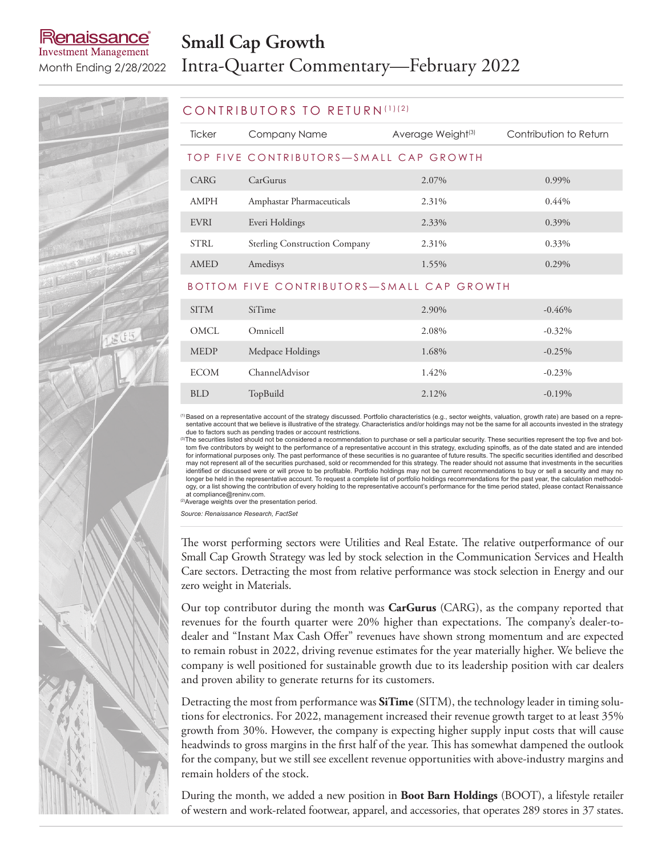### lenaissance **Investment Management**

# **Small Cap Growth** Month Ending 2/28/2022 Intra-Quarter Commentary—February 2022



#### CONTRIBUTORS TO RETURN (1)(2)

| <b>Ticker</b> | Company Name                              | Average Weight <sup>(3)</sup> | Contribution to Return |
|---------------|-------------------------------------------|-------------------------------|------------------------|
|               | TOP FIVE CONTRIBUTORS—SMALL CAP GROWTH    |                               |                        |
| CARG          | CarGurus                                  | 2.07%                         | 0.99%                  |
| AMPH          | Amphastar Pharmaceuticals                 | 2.31%                         | $0.44\%$               |
| EVRI          | Everi Holdings                            | 2.33%                         | 0.39%                  |
| STRL          | <b>Sterling Construction Company</b>      | 2.31%                         | 0.33%                  |
| AMED          | Amedisys                                  | 1.55%                         | 0.29%                  |
|               | BOTTOM FIVE CONTRIBUTORS-SMALL CAP GROWTH |                               |                        |

| <b>SITM</b> | <b>SiTime</b>    | 2.90% | $-0.46%$  |
|-------------|------------------|-------|-----------|
| OMCL        | Omnicell         | 2.08% | $-0.32\%$ |
| <b>MEDP</b> | Medpace Holdings | 1.68% | $-0.25%$  |
| <b>ECOM</b> | ChannelAdvisor   | 1.42% | $-0.23\%$ |
| <b>BLD</b>  | TopBuild         | 2.12% | $-0.19%$  |

(1)Based on a representative account of the strategy discussed. Portfolio characteristics (e.g., sector weights, valuation, growth rate) are based on a representative account that we believe is illustrative of the strategy. Characteristics and/or holdings may not be the same for all accounts invested in the strategy

due to factors such as pending trades or account restrictions.<br><sup>③</sup>The securities listed should not be considered a recommendation to purchase or sell a particular security. These securities represent the top five and bottom five contributors by weight to the performance of a representative account in this strategy, excluding spinoffs, as of the date stated and are intended for informational purposes only. The past performance of these securities is no guarantee of future results. The specific securities identified and described<br>may not represent all of the securities purchased, sold or recom identified or discussed were or will prove to be profitable. Portfolio holdings may not be current recommendations to buy or sell a security and may no longer be held in the representative account. To request a complete list of portfolio holdings recommendations for the past year, the calculation methodology, or a list showing the contribution of every holding to the representative account's performance for the time period stated, please contact Renaissance at compliance@reninv.com.

(2)Average weights over the presentation period.

*Source: Renaissance Research, FactSet*

The worst performing sectors were Utilities and Real Estate. The relative outperformance of our Small Cap Growth Strategy was led by stock selection in the Communication Services and Health Care sectors. Detracting the most from relative performance was stock selection in Energy and our zero weight in Materials.

Our top contributor during the month was **CarGurus** (CARG), as the company reported that revenues for the fourth quarter were 20% higher than expectations. The company's dealer-todealer and "Instant Max Cash Offer" revenues have shown strong momentum and are expected to remain robust in 2022, driving revenue estimates for the year materially higher. We believe the company is well positioned for sustainable growth due to its leadership position with car dealers and proven ability to generate returns for its customers.

Detracting the most from performance was **SiTime** (SITM), the technology leader in timing solutions for electronics. For 2022, management increased their revenue growth target to at least 35% growth from 30%. However, the company is expecting higher supply input costs that will cause headwinds to gross margins in the first half of the year. This has somewhat dampened the outlook for the company, but we still see excellent revenue opportunities with above-industry margins and remain holders of the stock.

During the month, we added a new position in **Boot Barn Holdings** (BOOT), a lifestyle retailer of western and work-related footwear, apparel, and accessories, that operates 289 stores in 37 states.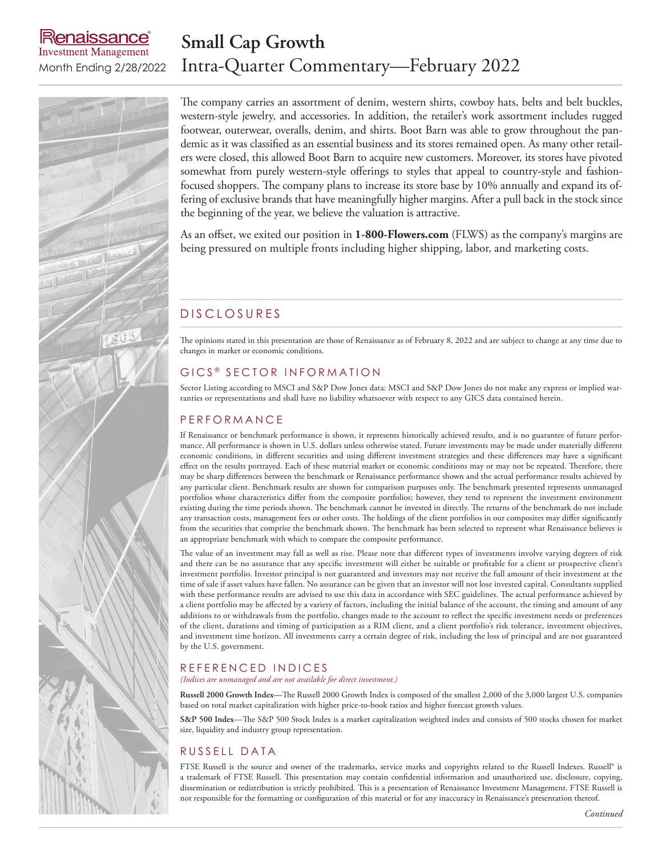### enaissance **Investment Management**

## **Small Cap Growth** Month Ending 2/28/2022 Intra-Quarter Commentary—February 2022



The company carries an assortment of denim, western shirts, cowboy hats, belts and belt buckles, western-style jewelry, and accessories. In addition, the retailer's work assortment includes rugged footwear, outerwear, overalls, denim, and shirts. Boot Barn was able to grow throughout the pandemic as it was classified as an essential business and its stores remained open. As many other retailers were closed, this allowed Boot Barn to acquire new customers. Moreover, its stores have pivoted somewhat from purely western-style offerings to styles that appeal to country-style and fashionfocused shoppers. The company plans to increase its store base by 10% annually and expand its offering of exclusive brands that have meaningfully higher margins. After a pull back in the stock since the beginning of the year, we believe the valuation is attractive.

As an offset, we exited our position in **1-800-Flowers.com** (FLWS) as the company's margins are being pressured on multiple fronts including higher shipping, labor, and marketing costs.

### D ISCLOSURES

The opinions stated in this presentation are those of Renaissance as of February 8, 2022 and are subject to change at any time due to changes in market or economic conditions.

#### GICS ® SECTOR INFORMATION

Sector Listing according to MSCI and S&P Dow Jones data: MSCI and S&P Dow Jones do not make any express or implied warranties or representations and shall have no liability whatsoever with respect to any GICS data contained herein.

#### **P E R F O R M A N C E**

If Renaissance or benchmark performance is shown, it represents historically achieved results, and is no guarantee of future performance. All performance is shown in U.S. dollars unless otherwise stated. Future investments may be made under materially different economic conditions, in different securities and using different investment strategies and these differences may have a significant effect on the results portrayed. Each of these material market or economic conditions may or may not be repeated. Therefore, there may be sharp differences between the benchmark or Renaissance performance shown and the actual performance results achieved by any particular client. Benchmark results are shown for comparison purposes only. The benchmark presented represents unmanaged portfolios whose characteristics differ from the composite portfolios; however, they tend to represent the investment environment existing during the time periods shown. The benchmark cannot be invested in directly. The returns of the benchmark do not include any transaction costs, management fees or other costs. The holdings of the client portfolios in our composites may differ significantly from the securities that comprise the benchmark shown. The benchmark has been selected to represent what Renaissance believes is an appropriate benchmark with which to compare the composite performance.

The value of an investment may fall as well as rise. Please note that different types of investments involve varying degrees of risk and there can be no assurance that any specific investment will either be suitable or profitable for a client or prospective client's investment portfolio. Investor principal is not guaranteed and investors may not receive the full amount of their investment at the time of sale if asset values have fallen. No assurance can be given that an investor will not lose invested capital. Consultants supplied with these performance results are advised to use this data in accordance with SEC guidelines. The actual performance achieved by a client portfolio may be affected by a variety of factors, including the initial balance of the account, the timing and amount of any additions to or withdrawals from the portfolio, changes made to the account to reflect the specific investment needs or preferences of the client, durations and timing of participation as a RIM client, and a client portfolio's risk tolerance, investment objectives, and investment time horizon. All investments carry a certain degree of risk, including the loss of principal and are not guaranteed by the U.S. government.

#### REFERENCED INDICES

*(Indices are unmanaged and are not available for direct investment.)*

**Russell 2000 Growth Index—**The Russell 2000 Growth Index is composed of the smallest 2,000 of the 3,000 largest U.S. companies based on total market capitalization with higher price-to-book ratios and higher forecast growth values.

**S&P 500 Index**—The S&P 500 Stock Index is a market capitalization weighted index and consists of 500 stocks chosen for market size, liquidity and industry group representation.

#### RUSSELL DATA

FTSE Russell is the source and owner of the trademarks, service marks and copyrights related to the Russell Indexes. Russell® is a trademark of FTSE Russell. This presentation may contain confidential information and unauthorized use, disclosure, copying, dissemination or redistribution is strictly prohibited. This is a presentation of Renaissance Investment Management. FTSE Russell is not responsible for the formatting or configuration of this material or for any inaccuracy in Renaissance's presentation thereof.